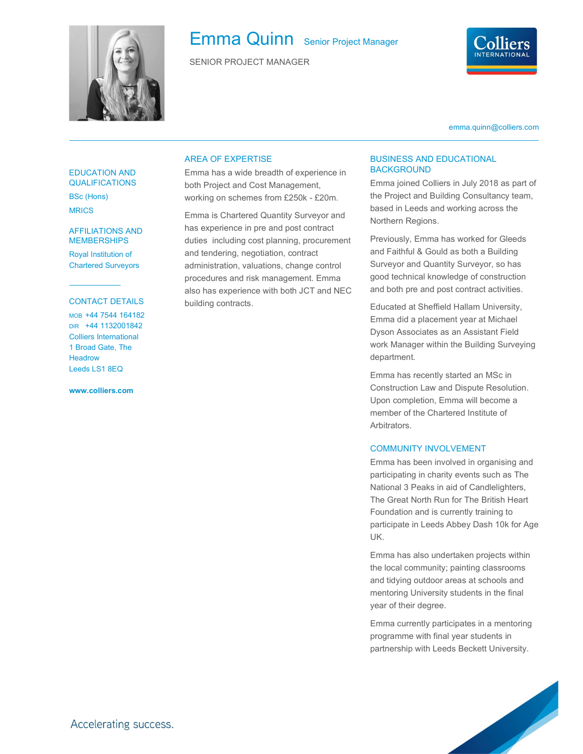

# Emma Quinn Senior Project Manager

SENIOR PROJECT MANAGER



emma.quinn@colliers.com

#### EDUCATION AND **QUALIFICATIONS**

BSc (Hons) MRICS

## MEMBERSHIPS

Royal Institution of Chartered Surveyors

#### CONTACT DETAILS

MOB +44 7544 164182 DIR +44 1132001842 Colliers International 1 Broad Gate, The **Headrow** Leeds LS1 8EQ

www.colliers.com

#### AREA OF EXPERTISE

Emma has a wide breadth of experience in both Project and Cost Management, working on schemes from £250k - £20m.

AFFILIATIONS AND has experience in pre and post contract Emma is Chartered Quantity Surveyor and duties including cost planning, procurement and tendering, negotiation, contract administration, valuations, change control procedures and risk management. Emma also has experience with both JCT and NEC building contracts.

### BUSINESS AND EDUCATIONAL **BACKGROUND**

Emma joined Colliers in July 2018 as part of the Project and Building Consultancy team, based in Leeds and working across the Northern Regions.

Previously, Emma has worked for Gleeds and Faithful & Gould as both a Building Surveyor and Quantity Surveyor, so has good technical knowledge of construction and both pre and post contract activities.

Educated at Sheffield Hallam University, Emma did a placement year at Michael Dyson Associates as an Assistant Field work Manager within the Building Surveying department.

Emma has recently started an MSc in Construction Law and Dispute Resolution. Upon completion, Emma will become a member of the Chartered Institute of Arbitrators.

#### COMMUNITY INVOLVEMENT

Emma has been involved in organising and participating in charity events such as The National 3 Peaks in aid of Candlelighters, The Great North Run for The British Heart Foundation and is currently training to participate in Leeds Abbey Dash 10k for Age UK.

Emma has also undertaken projects within the local community; painting classrooms and tidying outdoor areas at schools and mentoring University students in the final year of their degree.

Emma currently participates in a mentoring programme with final year students in partnership with Leeds Beckett University.

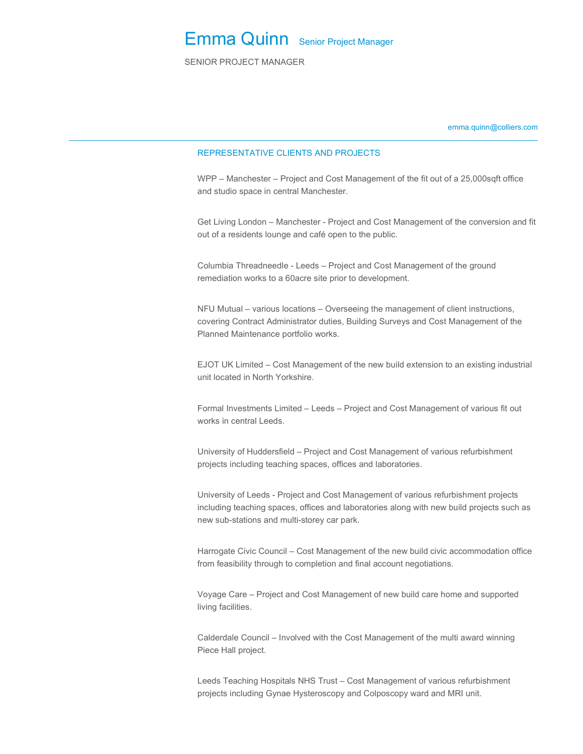SENIOR PROJECT MANAGER

emma.quinn@colliers.com

#### REPRESENTATIVE CLIENTS AND PROJECTS

WPP – Manchester – Project and Cost Management of the fit out of a 25,000sqft office and studio space in central Manchester.

Get Living London – Manchester - Project and Cost Management of the conversion and fit out of a residents lounge and café open to the public.

Columbia Threadneedle - Leeds – Project and Cost Management of the ground remediation works to a 60acre site prior to development.

NFU Mutual – various locations – Overseeing the management of client instructions, covering Contract Administrator duties, Building Surveys and Cost Management of the Planned Maintenance portfolio works.

EJOT UK Limited – Cost Management of the new build extension to an existing industrial unit located in North Yorkshire.

Formal Investments Limited – Leeds – Project and Cost Management of various fit out works in central Leeds.

University of Huddersfield – Project and Cost Management of various refurbishment projects including teaching spaces, offices and laboratories.

University of Leeds - Project and Cost Management of various refurbishment projects including teaching spaces, offices and laboratories along with new build projects such as new sub-stations and multi-storey car park.

Harrogate Civic Council – Cost Management of the new build civic accommodation office from feasibility through to completion and final account negotiations.

Voyage Care – Project and Cost Management of new build care home and supported living facilities.

Calderdale Council – Involved with the Cost Management of the multi award winning Piece Hall project.

Leeds Teaching Hospitals NHS Trust – Cost Management of various refurbishment projects including Gynae Hysteroscopy and Colposcopy ward and MRI unit.